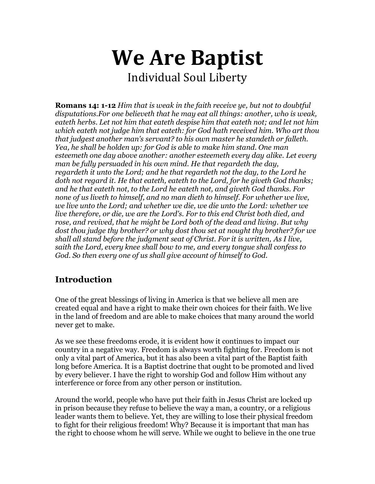# **We Are Baptist** Individual Soul Liberty

**Romans 14: 1-12** *Him that is weak in the faith receive ye, but not to doubtful disputations.For one believeth that he may eat all things: another, who is weak, eateth herbs. Let not him that eateth despise him that eateth not; and let not him which eateth not judge him that eateth: for God hath received him. Who art thou that judgest another man's servant? to his own master he standeth or falleth. Yea, he shall be holden up: for God is able to make him stand. One man esteemeth one day above another: another esteemeth every day alike. Let every man be fully persuaded in his own mind. He that regardeth the day, regardeth it unto the Lord; and he that regardeth not the day, to the Lord he doth not regard it. He that eateth, eateth to the Lord, for he giveth God thanks; and he that eateth not, to the Lord he eateth not, and giveth God thanks. For none of us liveth to himself, and no man dieth to himself. For whether we live, we live unto the Lord; and whether we die, we die unto the Lord: whether we live therefore, or die, we are the Lord's. For to this end Christ both died, and rose, and revived, that he might be Lord both of the dead and living. But why dost thou judge thy brother? or why dost thou set at nought thy brother? for we shall all stand before the judgment seat of Christ. For it is written, As I live, saith the Lord, every knee shall bow to me, and every tongue shall confess to God. So then every one of us shall give account of himself to God.*

## **Introduction**

One of the great blessings of living in America is that we believe all men are created equal and have a right to make their own choices for their faith. We live in the land of freedom and are able to make choices that many around the world never get to make.

As we see these freedoms erode, it is evident how it continues to impact our country in a negative way. Freedom is always worth fighting for. Freedom is not only a vital part of America, but it has also been a vital part of the Baptist faith long before America. It is a Baptist doctrine that ought to be promoted and lived by every believer. I have the right to worship God and follow Him without any interference or force from any other person or institution.

Around the world, people who have put their faith in Jesus Christ are locked up in prison because they refuse to believe the way a man, a country, or a religious leader wants them to believe. Yet, they are willing to lose their physical freedom to fight for their religious freedom! Why? Because it is important that man has the right to choose whom he will serve. While we ought to believe in the one true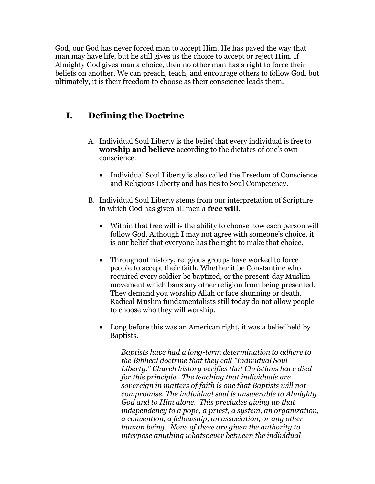God, our God has never forced man to accept Him. He has paved the way that man may have life, but he still gives us the choice to accept or reject Him. If Almighty God gives man a choice, then no other man has a right to force their beliefs on another. We can preach, teach, and encourage others to follow God, but ultimately, it is their freedom to choose as their conscience leads them.

### **I. Defining the Doctrine**

- A. Individual Soul Liberty is the belief that every individual is free to **worship and believe** according to the dictates of one's own conscience.
	- Individual Soul Liberty is also called the Freedom of Conscience and Religious Liberty and has ties to Soul Competency.
- B. Individual Soul Liberty stems from our interpretation of Scripture in which God has given all men a **free will**.
	- Within that free will is the ability to choose how each person will follow God. Although I may not agree with someone's choice, it is our belief that everyone has the right to make that choice.
	- Throughout history, religious groups have worked to force people to accept their faith. Whether it be Constantine who required every soldier be baptized, or the present-day Muslim movement which bans any other religion from being presented. They demand you worship Allah or face shunning or death. Radical Muslim fundamentalists still today do not allow people to choose who they will worship.
	- Long before this was an American right, it was a belief held by Baptists.

*Baptists have had a long-term determination to adhere to the Biblical doctrine that they call "Individual Soul Liberty." Church history verifies that Christians have died for this principle. The teaching that individuals are sovereign in matters of faith is one that Baptists will not compromise. The individual soul is answerable to Almighty God and to Him alone. This precludes giving up that independency to a pope, a priest, a system, an organization, a convention, a fellowship, an association, or any other human being. None of these are given the authority to interpose anything whatsoever between the individual*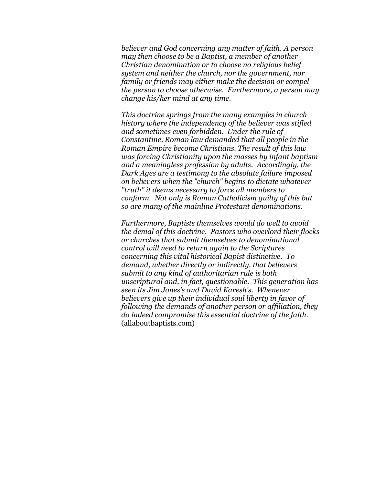*believer and God concerning any matter of faith. A person may then choose to be a Baptist, a member of another Christian denomination or to choose no religious belief system and neither the church, nor the government, nor family or friends may either make the decision or compel the person to choose otherwise. Furthermore, a person may change his/her mind at any time.*

*This doctrine springs from the many examples in church history where the independency of the believer was stifled and sometimes even forbidden. Under the rule of Constantine, Roman law demanded that all people in the Roman Empire become Christians. The result of this law was forcing Christianity upon the masses by infant baptism and a meaningless profession by adults. Accordingly, the Dark Ages are a testimony to the absolute failure imposed on believers when the "church" begins to dictate whatever "truth" it deems necessary to force all members to conform. Not only is Roman Catholicism guilty of this but so are many of the mainline Protestant denominations.*

*Furthermore, Baptists themselves would do well to avoid the denial of this doctrine. Pastors who overlord their flocks or churches that submit themselves to denominational control will need to return again to the Scriptures concerning this vital historical Bapist distinctive. To demand, whether directly or indirectly, that believers submit to any kind of authoritarian rule is both unscriptural and, in fact, questionable. This generation has seen its Jim Jones's and David Karesh's. Whenever believers give up their individual soul liberty in favor of following the demands of another person or affiliation, they do indeed compromise this essential doctrine of the faith.* (allaboutbaptists.com)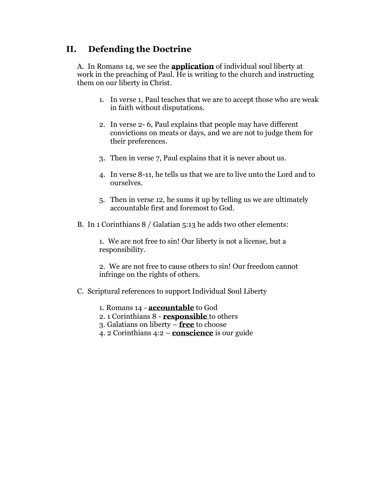#### **II. Defending the Doctrine**

A. In Romans 14, we see the **application** of individual soul liberty at work in the preaching of Paul. He is writing to the church and instructing them on our liberty in Christ.

- 1. In verse 1, Paul teaches that we are to accept those who are weak in faith without disputations.
- 2. In verse 2- 6, Paul explains that people may have different convictions on meats or days, and we are not to judge them for their preferences.
- 3. Then in verse 7, Paul explains that it is never about us.
- 4. In verse 8-11, he tells us that we are to live unto the Lord and to ourselves.
- 5. Then in verse 12, he sums it up by telling us we are ultimately accountable first and foremost to God.
- B. In 1 Corinthians 8 / Galatian 5:13 he adds two other elements:

1. We are not free to sin! Our liberty is not a license, but a responsibility.

2. We are not free to cause others to sin! Our freedom cannot infringe on the rights of others.

- C. Scriptural references to support Individual Soul Liberty
	- 1. Romans 14 **accountable** to God
	- 2. 1 Corinthians 8 **responsible** to others
	- 3. Galatians on liberty **free** to choose
	- 4. 2 Corinthians 4:2 **conscience** is our guide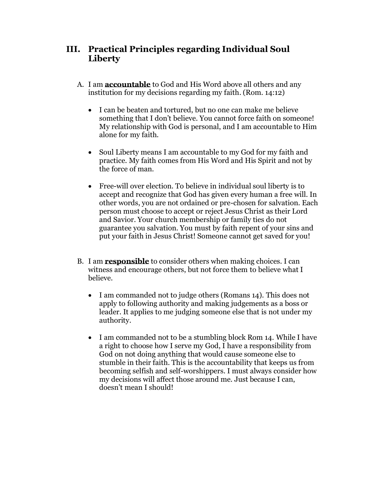#### **III. Practical Principles regarding Individual Soul Liberty**

- A. I am **accountable** to God and His Word above all others and any institution for my decisions regarding my faith. (Rom. 14:12)
	- I can be beaten and tortured, but no one can make me believe something that I don't believe. You cannot force faith on someone! My relationship with God is personal, and I am accountable to Him alone for my faith.
	- Soul Liberty means I am accountable to my God for my faith and practice. My faith comes from His Word and His Spirit and not by the force of man.
	- Free-will over election. To believe in individual soul liberty is to accept and recognize that God has given every human a free will. In other words, you are not ordained or pre-chosen for salvation. Each person must choose to accept or reject Jesus Christ as their Lord and Savior. Your church membership or family ties do not guarantee you salvation. You must by faith repent of your sins and put your faith in Jesus Christ! Someone cannot get saved for you!
- B. I am **responsible** to consider others when making choices. I can witness and encourage others, but not force them to believe what I believe.
	- I am commanded not to judge others (Romans 14). This does not apply to following authority and making judgements as a boss or leader. It applies to me judging someone else that is not under my authority.
	- I am commanded not to be a stumbling block Rom 14. While I have a right to choose how I serve my God, I have a responsibility from God on not doing anything that would cause someone else to stumble in their faith. This is the accountability that keeps us from becoming selfish and self-worshippers. I must always consider how my decisions will affect those around me. Just because I can, doesn't mean I should!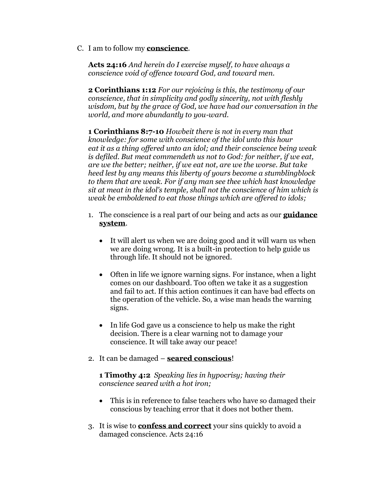C. I am to follow my **conscience**.

**Acts 24:16** *And herein do I exercise myself, to have always a conscience void of offence toward God, and toward men.*

**2 Corinthians 1:12** *For our rejoicing is this, the testimony of our conscience, that in simplicity and godly sincerity, not with fleshly wisdom, but by the grace of God, we have had our conversation in the world, and more abundantly to you-ward.*

**1 Corinthians 8:7-10** *Howbeit there is not in every man that knowledge: for some with conscience of the idol unto this hour eat it as a thing offered unto an idol; and their conscience being weak is defiled. But meat commendeth us not to God: for neither, if we eat, are we the better; neither, if we eat not, are we the worse. But take heed lest by any means this liberty of yours become a stumblingblock to them that are weak. For if any man see thee which hast knowledge sit at meat in the idol's temple, shall not the conscience of him which is weak be emboldened to eat those things which are offered to idols;*

- 1. The conscience is a real part of our being and acts as our **guidance system**.
	- It will alert us when we are doing good and it will warn us when we are doing wrong. It is a built-in protection to help guide us through life. It should not be ignored.
	- Often in life we ignore warning signs. For instance, when a light comes on our dashboard. Too often we take it as a suggestion and fail to act. If this action continues it can have bad effects on the operation of the vehicle. So, a wise man heads the warning signs.
	- In life God gave us a conscience to help us make the right decision. There is a clear warning not to damage your conscience. It will take away our peace!
- 2. It can be damaged **seared conscious**!

**1 Timothy 4:2** *Speaking lies in hypocrisy; having their conscience seared with a hot iron;*

- This is in reference to false teachers who have so damaged their conscious by teaching error that it does not bother them.
- 3. It is wise to **confess and correct** your sins quickly to avoid a damaged conscience. Acts 24:16